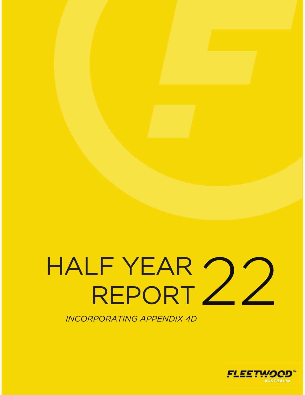# HALF YEAR **REPORT** 22

*INCORPORATING APPENDIX 4D* 

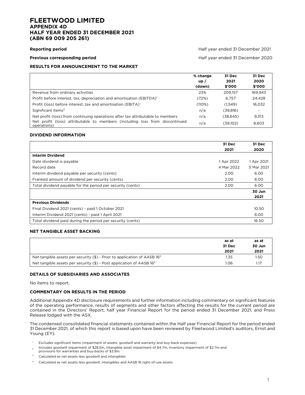#### **FLEETWOOD LIMITED APPENDIX 4D HALF YEAR ENDED 31 DECEMBER 2021 (ABN 69 009 205 261)**

**Reporting period** Half year ended 31 December 2021

**Previous corresponding period Half year ended 31 December 2020** 

#### **RESULTS FOR ANNOUNCEMENT TO THE MARKET**

|                                                                                            | % change<br>up/<br>(down) | 31 Dec<br>2021<br>\$'000 | 31 Dec<br>2020<br>\$'000 |
|--------------------------------------------------------------------------------------------|---------------------------|--------------------------|--------------------------|
| Revenue from ordinary activities                                                           | 23%                       | 209.157                  | 169.943                  |
| Profit before interest, tax, depreciation and amortisation (EBITDA) <sup>1</sup>           | (72%)                     | 6.757                    | 24.428                   |
| Profit (loss) before interest, tax and amortisation (EBITA) <sup>1</sup>                   | (110%)                    | (1.549)                  | 16.032                   |
| Significant items <sup>2</sup>                                                             | n/a                       | (39,816)                 | $\overline{\phantom{0}}$ |
| Net profit (loss) from continuing operations after tax attributable to members             | n/a                       | (38.645)                 | 9.313                    |
| Net profit (loss) attributable to members (including loss from discontinued<br>operations) | n/a                       | (39,102)                 | 8,603                    |

#### **DIVIDEND INFORMATION**

|                                                            | 31 Dec     | 31 Dec     |
|------------------------------------------------------------|------------|------------|
|                                                            | 2021       | 2020       |
| <b>Interim Dividend</b>                                    |            |            |
| Date dividend is payable                                   | 1 Apr 2022 | 1 Apr 2021 |
| Record date                                                | 4 Mar 2022 | 5 Mar 2021 |
| Interim dividend payable per security (cents)              | 2.00       | 6.00       |
| Franked amount of dividend per security (cents)            | 2.00       | 6.00       |
| Total dividend payable for the period per security (cents) | 2.00       | 6.00       |
|                                                            |            | 30 Jun     |
|                                                            |            | 2021       |
| <b>Previous Dividends</b>                                  |            |            |
| Final Dividend 2021 (cents) - paid 1 October 2021          |            | 10.50      |
| Interim Dividend 2021 (cents) - paid 1 April 2021          |            | 6.00       |
| Total dividend paid during the period per security (cents) |            | 16.50      |

#### **NET TANGIBLE ASSET BACKING**

|                                                                                    | as at<br>31 Dec<br>2021 | as at<br>30 Jun<br>2021 |
|------------------------------------------------------------------------------------|-------------------------|-------------------------|
| Net tangible assets per security $($ \$) - Prior to application of AASB $163$      | 1.35                    | 1.50                    |
| Net tangible assets per security $(\$)$ - Post application of AASB 16 <sup>4</sup> | .06                     |                         |

#### **DETAILS OF SUBSIDIARIES AND ASSOCIATES**

No items to report.

#### **COMMENTARY ON RESULTS IN THE PERIOD**

Additional Appendix 4D disclosure requirements and further information including commentary on significant features of the operating performance, results of segments and other factors affecting the results for the current period are contained in the Directors' Report, half year Financial Report for the period ended 31 December 2021, and Press Release lodged with the ASX.

The condensed consolidated financial statements contained within the Half year Financial Report for the period ended 31 December 2021, of which this report is based upon have been reviewed by Fleetwood Limited's auditors, Ernst and Young (EY).

<sup>1</sup> Excludes significant items (impairment of assets, goodwill and warranty and buy-back expenses)

2 Includes goodwill impairment of \$28.5m, intangible asset impairment of \$4.7m, inventory impairment of \$2.7m and

- provisions for warranties and buy-backs of \$3.9m.
- <sup>3</sup> Calculated as net assets less goodwill and intangibles
- 4 Calculated as net assets less goodwill, intangibles and AASB 16 right-of-use assets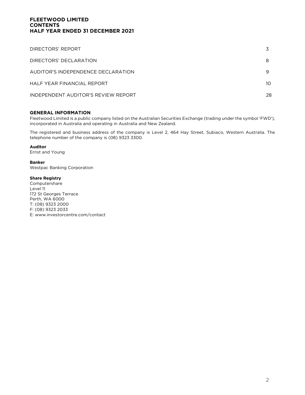## **FLEETWOOD LIMITED CONTENTS HALF YEAR ENDED 31 DECEMBER 2021**

| DIRECTORS' REPORT                   |    |
|-------------------------------------|----|
| DIRECTORS' DECLARATION              | 8  |
| AUDITOR'S INDEPENDENCE DECLARATION  |    |
| HALF YEAR FINANCIAL REPORT          | 10 |
| INDEPENDENT AUDITOR'S REVIEW REPORT | 28 |

#### **GENERAL INFORMATION**

Fleetwood Limited is a public company listed on the Australian Securities Exchange (trading under the symbol 'FWD'), incorporated in Australia and operating in Australia and New Zealand.

The registered and business address of the company is Level 2, 464 Hay Street, Subiaco, Western Australia. The telephone number of the company is (08) 9323 3300.

#### **Auditor**

Ernst and Young

#### **Banker**

Westpac Banking Corporation

#### **Share Registry**

Computershare Level 11 172 St Georges Terrace Perth, WA 6000 T: (08) 9323 2000 F: (08) 9323 2033 E: www.investorcentre.com/contact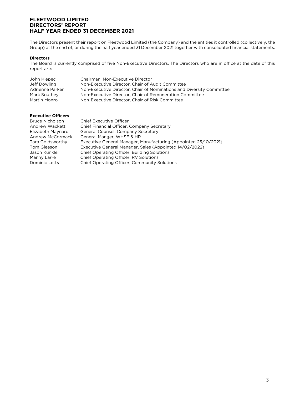The Directors present their report on Fleetwood Limited (the Company) and the entities it controlled (collectively, the Group) at the end of, or during the half year ended 31 December 2021 together with consolidated financial statements.

#### **Directors**

The Board is currently comprised of five Non-Executive Directors. The Directors who are in office at the date of this report are:

| John Klepec     | Chairman, Non-Executive Director                                     |
|-----------------|----------------------------------------------------------------------|
| Jeff Dowling    | Non-Executive Director, Chair of Audit Committee                     |
| Adrienne Parker | Non-Executive Director, Chair of Nominations and Diversity Committee |
| Mark Southey    | Non-Executive Director, Chair of Remuneration Committee              |
| Martin Monro    | Non-Executive Director, Chair of Risk Committee                      |

#### **Executive Officers**

| Bruce Nicholson         | <b>Chief Executive Officer</b>                                  |
|-------------------------|-----------------------------------------------------------------|
| Andrew Wackett          | Chief Financial Officer, Company Secretary                      |
| Elizabeth Maynard       | General Counsel, Company Secretary                              |
| <b>Andrew McCormack</b> | General Manger, WHSE & HR                                       |
| Tara Goldsworthy        | Executive General Manager, Manufacturing (Appointed 25/10/2021) |
| Tom Gleeson             | Executive General Manager, Sales (Appointed 14/02/2022)         |
| Jason Kunkler           | Chief Operating Officer, Building Solutions                     |
| Manny Larre             | Chief Operating Officer, RV Solutions                           |
| Dominic Letts           | Chief Operating Officer, Community Solutions                    |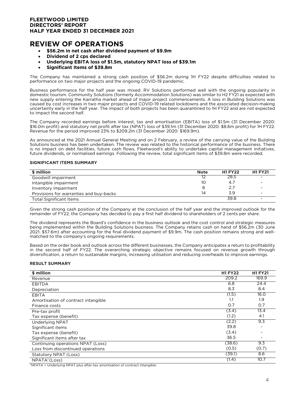# **REVIEW OF OPERATIONS**

- **\$56.2m in net cash after dividend payment of \$9.9m**
- **Dividend of 2 cps declared**
- **Underlying EBITA loss of \$1.5m, statutory NPAT loss of \$39.1m**
- **Significant Items of \$39.8m**

The Company has maintained a strong cash position of \$56.2m during 1H FY22 despite difficulties related to performance on two major projects and the ongoing COVID-19 pandemic.

Business performance for the half year was mixed. RV Solutions performed well with the ongoing popularity in domestic tourism. Community Solutions (formerly Accommodation Solutions) was similar to H2 FY21 as expected with new supply entering the Karratha market ahead of major project commencements. A loss in Building Solutions was caused by cost increases in two major projects and COVID-19 related lockdowns and the associated decision-making uncertainty early in the half year. The impact of both projects has been quarantined to 1H FY22 and are not expected to impact the second half.

The Company recorded earnings before interest, tax and amortisation (EBITA) loss of \$1.5m (31 December 2020: \$16.0m profit) and statutory net profit after tax (NPAT) loss of \$39.1m (31 December 2020: \$8.6m profit) for 1H FY22. Revenue for the period improved 23% to \$209.2m (31 December 2020: \$169.9m).

As announced at the 2021 Annual General Meeting and on 2 February, a review of the carrying value of the Building Solutions business has been undertaken. The review was related to the historical performance of the business. There is no impact on debt facilities, future cash flows, Fleetwood's ability to undertake capital management initiatives, future dividends, or normalised earnings. Following the review, total significant items of \$39.8m were recorded.

#### **SIGNIFICANT ITEMS SUMMARY**

| \$ million                              | <b>Note</b> | <b>H1 FY22</b> | <b>H1 FY21</b>           |
|-----------------------------------------|-------------|----------------|--------------------------|
| Goodwill impairment                     |             | 28.5           | $\overline{\phantom{a}}$ |
| Intangible impairment                   | 10          | 4.7            | $\overline{\phantom{a}}$ |
| Inventory impairment                    |             | 2.7            | $\blacksquare$           |
| Provisions for warranties and buy-backs | 14          | 3.9            | $\overline{\phantom{a}}$ |
| Total Significant Items                 |             | 39.8           | $\overline{\phantom{0}}$ |

Given the strong cash position of the Company at the conclusion of the half year and the improved outlook for the remainder of FY22, the Company has decided to pay a first half dividend to shareholders of 2 cents per share.

The dividend represents the Board's confidence in the business outlook and the cost control and strategic measures being implemented within the Building Solutions business. The Company retains cash on hand of \$56.2m (30 June 2021: \$57.6m) after accounting for the final dividend payment of \$9.9m. The cash position remains strong and wellmatched to the company's ongoing requirements.

Based on the order book and outlook across the different businesses, the Company anticipates a return to profitability in the second half of FY22. The overarching strategic objective remains focused on revenue growth through diversification, a return to sustainable margins, increasing utilisation and reducing overheads to improve earnings.

#### **RESULT SUMMARY**

| \$ million                          | <b>H1 FY22</b> | <b>H1 FY21</b> |
|-------------------------------------|----------------|----------------|
| Revenue                             | 209.2          | 169.9          |
| <b>EBITDA</b>                       | 6.8            | 24.4           |
| Depreciation                        | 8.3            | 8.4            |
| <b>EBITA</b>                        | (1.5)          | 16.0           |
| Amortisation of contract intangible | 1.1            | 1.9            |
| Finance costs                       | O.7            | O.7            |
| Pre-tax profit                      | (3.4)          | 13.4           |
| Tax expense (benefit)               | (1.2)          | 4.1            |
| <b>Underlying NPAT</b>              | (2.2)          | 9.3            |
| Significant items                   | 39.8           |                |
| Tax expense (benefit)               | (3.4)          |                |
| Significant items after tax         | 36.5           | ۰              |
| Continuing operations NPAT (Loss)   | (38.6)         | 9.3            |
| Loss from discontinued operations   | (0.5)          | (0.7)          |
| Statutory NPAT (Loss)               | (39.1)         | 8.6            |
| NPATA <sup>1</sup> (Loss)           | (1.4)          | 10.7           |

 $1$ NPATA = Underlying NPAT plus after-tax amortisation of contract intangible.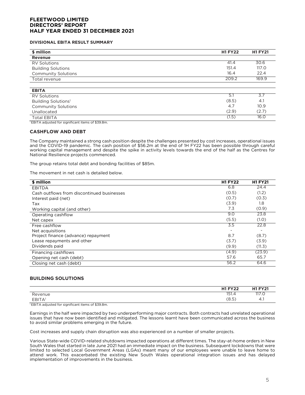#### **DIVISIONAL EBITA RESULT SUMMARY**

| \$ million                      | <b>H1 FY22</b> | <b>H1 FY21</b> |
|---------------------------------|----------------|----------------|
| Revenue                         |                |                |
| <b>RV Solutions</b>             | 41.4           | 30.6           |
| <b>Building Solutions</b>       | 151.4          | <b>117.0</b>   |
| <b>Community Solutions</b>      | 16.4           | 22.4           |
| Total revenue                   | 209.2          | 169.9          |
| <b>EBITA</b>                    |                |                |
| <b>RV Solutions</b>             | 5.1            | 3.7            |
| Building Solutions <sup>1</sup> | (8.5)          | 4.1            |
| <b>Community Solutions</b>      | 4.7            | 10.9           |
| Unallocated                     | (2.9)          | (2.7)          |
| <b>Total EBITA</b>              | (1.5)          | 16.0           |

<sup>1</sup> EBITA adjusted for significant items of \$39.8m.

#### **CASHFLOW AND DEBT**

The Company maintained a strong cash position despite the challenges presented by cost increases, operational issues and the COVID-19 pandemic. The cash position of \$56.2m at the end of 1H FY22 has been possible through careful working capital management and despite the spike in activity levels towards the end of the half as the Centres for National Resilience projects commenced.

The group retains total debt and bonding facilities of \$85m.

The movement in net cash is detailed below.

| \$ million                                 | <b>H1 FY22</b> | <b>H1 FY21</b> |
|--------------------------------------------|----------------|----------------|
| <b>EBITDA</b>                              | 6.8            | 24.4           |
| Cash outflows from discontinued businesses | (0.5)          | (1.2)          |
| Interest paid (net)                        | (0.7)          | (0.3)          |
| Tax                                        | (3.9)          | 1.8            |
| Working capital (and other)                | 7.3            | (0.9)          |
| Operating cashflow                         | 9.0            | 23.8           |
| Net capex                                  | (5.5)          | (1.0)          |
| Free cashflow                              | 3.5            | 22.8           |
| Net acquisitions                           |                |                |
| Project finance (advance) repayment        | 8.7            | (8.7)          |
| Lease repayments and other                 | (3.7)          | (3.9)          |
| Dividends paid                             | (9.9)          | (11.3)         |
| Financing cashflows                        | (4.9)          | (23.9)         |
| Opening net cash (debt)                    | 57.6           | 65.7           |
| Closing net cash (debt)                    | 56.2           | 64.6           |

#### **BUILDING SOLUTIONS**

|              | $H1$ EV <sub>22</sub><br>74 | <b>H1 FY21</b> |
|--------------|-----------------------------|----------------|
| Revenue      | 15.<br>131.4                | 117<br>117.0   |
| <b>EBITA</b> | (8.5)                       | Λ<br>∸<br>     |

<sup>1</sup>EBITA adjusted for significant items of \$39.8m.

Earnings in the half were impacted by two underperforming major contracts. Both contracts had unrelated operational issues that have now been identified and mitigated. The lessons learnt have been communicated across the business to avoid similar problems emerging in the future.

Cost increases and supply chain disruption was also experienced on a number of smaller projects.

Various State-wide COVID-related shutdowns impacted operations at different times. The stay-at-home orders in New South Wales that started in late June 2021 had an immediate impact on the business. Subsequent lockdowns that were limited to selected Local Government Areas (LGAs) meant many of our employees were unable to leave home to attend work. This exacerbated the existing New South Wales operational integration issues and has delayed implementation of improvements in the business.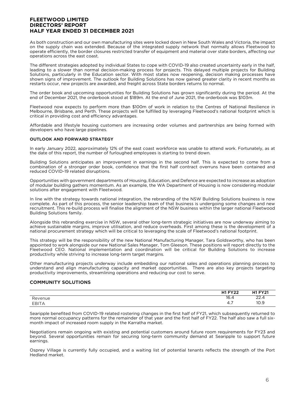As both construction and our own manufacturing sites were locked down in New South Wales and Victoria, the impact on the supply chain was extended. Because of the integrated supply network that normally allows Fleetwood to operate efficiently, the border closures restricted transfer of equipment and material over state borders, affecting our operations across the east coast.

The different strategies adopted by individual States to cope with COVID-19 also created uncertainty early in the half, leading to a slower than normal decision-making process for projects. This delayed multiple projects for Building Solutions, particularly in the Education sector. With most states now reopening, decision making processes have shown signs of improvement. The outlook for Building Solutions has now gained greater clarity in recent months as restarts occur, new projects are awarded, and freight across State borders returns to normal.

The order book and upcoming opportunities for Building Solutions has grown significantly during the period. At the end of December 2021, the orderbook stood at \$189m. At the end of June 2021, the orderbook was \$103m.

Fleetwood now expects to perform more than \$100m of work in relation to the Centres of National Resilience in Melbourne, Brisbane, and Perth. These projects will be fulfilled by leveraging Fleetwood's national footprint which is critical in providing cost and efficiency advantages.

Affordable and lifestyle housing customers are increasing order volumes and partnerships are being formed with developers who have large pipelines.

#### **OUTLOOK AND FORWARD STRATEGY**

In early January 2022, approximately 12% of the east coast workforce was unable to attend work. Fortunately, as at the date of this report, the number of furloughed employees is starting to trend down.

Building Solutions anticipates an improvement in earnings in the second half. This is expected to come from a combination of a stronger order book, confidence that the first half contract overruns have been contained and reduced COVID-19 related disruptions.

Opportunities with government departments of Housing, Education, and Defence are expected to increase as adoption of modular building gathers momentum. As an example, the WA Department of Housing is now considering modular solutions after engagement with Fleetwood.

In line with the strategy towards national integration, the rebranding of the NSW Building Solutions business is now complete. As part of this process, the senior leadership team of that business is undergoing some changes and new recruitment. This re-build process will finalise the alignment of the NSW business within the larger national Fleetwood Building Solutions family.

Alongside this rebranding exercise in NSW, several other long-term strategic initiatives are now underway aiming to achieve sustainable margins, improve utilisation, and reduce overheads. First among these is the development of a national procurement strategy which will be critical to leveraging the scale of Fleetwood's national footprint.

This strategy will be the responsibility of the new National Manufacturing Manager, Tara Goldsworthy, who has been appointed to work alongside our new National Sales Manager, Tom Gleeson. These positions will report directly to the Fleetwood CEO. National implementation and coordination will be critical for Building Solutions to increase productivity while striving to increase long-term target margins.

Other manufacturing projects underway include embedding our national sales and operations planning process to understand and align manufacturing capacity and market opportunities. There are also key projects targeting productivity improvements, streamlining operations and reducing our cost to serve.

#### **COMMUNITY SOLUTIONS**

|                                     | <b>H1 FY22</b>                            | <b>LIT EV 91</b> |
|-------------------------------------|-------------------------------------------|------------------|
| $\overline{\phantom{a}}$<br>Revenue | $\sim$<br>16.4                            | へへ<br>22.4       |
| <b>EBITA</b>                        | -<br>$\overline{\phantom{a}}$<br>↵<br>᠇., | 10.9             |

Searipple benefited from COVID-19 related rostering changes in the first half of FY21, which subsequently returned to more normal occupancy patterns for the remainder of that year and the first half of FY22. The half also saw a full sixmonth impact of increased room supply in the Karratha market.

Negotiations remain ongoing with existing and potential customers around future room requirements for FY23 and beyond. Several opportunities remain for securing long-term community demand at Searipple to support future earnings.

Osprey Village is currently fully occupied, and a waiting list of potential tenants reflects the strength of the Port Hedland market.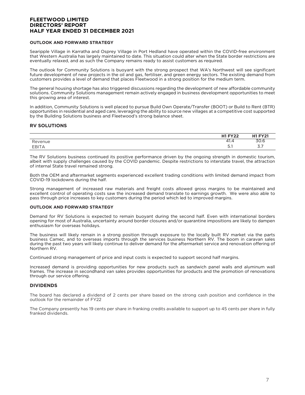#### **OUTLOOK AND FORWARD STRATEGY**

Searipple Village in Karratha and Osprey Village in Port Hedland have operated within the COVID-free environment that Western Australia has largely maintained to date. This situation could alter when the State border restrictions are eventually relaxed, and as such the Company remains ready to assist customers as required.

The outlook for Community Solutions is buoyant with the strong prospect that WA's Northwest will see significant future development of new projects in the oil and gas, fertiliser, and green energy sectors. The existing demand from customers provides a level of demand that places Fleetwood in a strong position for the medium term.

The general housing shortage has also triggered discussions regarding the development of new affordable community solutions. Community Solutions management remain actively engaged in business development opportunities to meet this growing area of interest.

In addition, Community Solutions is well placed to pursue Build Own Operate/Transfer (BOOT) or Build to Rent (BTR) opportunities in residential and aged care, leveraging the ability to source new villages at a competitive cost supported by the Building Solutions business and Fleetwood's strong balance sheet.

#### **RV SOLUTIONS**

|                                         | $III$ $TVA$<br>$\sim$                                               | LIS EV91                           |
|-----------------------------------------|---------------------------------------------------------------------|------------------------------------|
| $\overline{\phantom{a}}$<br>venue<br>Кe | $\overline{\phantom{a}}$<br>$\overline{\phantom{a}}$<br>ഺ<br>$+1.4$ | 30.6                               |
| <b>FRIT</b><br>$\Delta$<br>__           | -<br>$\cup$ . $\vdots$                                              | $\rightarrow$ $\rightarrow$<br>ر.ر |

The RV Solutions business continued its positive performance driven by the ongoing strength in domestic tourism, albeit with supply challenges caused by the COVID pandemic. Despite restrictions to interstate travel, the attraction of internal State travel remained strong.

Both the OEM and aftermarket segments experienced excellent trading conditions with limited demand impact from COVID-19 lockdowns during the half.

Strong management of increased raw materials and freight costs allowed gross margins to be maintained and excellent control of operating costs saw the increased demand translate to earnings growth. We were also able to pass through price increases to key customers during the period which led to improved margins.

#### **OUTLOOK AND FORWARD STRATEGY**

Demand for RV Solutions is expected to remain buoyant during the second half. Even with international borders opening for most of Australia, uncertainty around border closures and/or quarantine impositions are likely to dampen enthusiasm for overseas holidays.

The business will likely remain in a strong position through exposure to the locally built RV market via the parts business Camec, and to overseas imports through the services business Northern RV. The boom in caravan sales during the past two years will likely continue to deliver demand for the aftermarket service and renovation offering of Northern RV.

Continued strong management of price and input costs is expected to support second half margins.

Increased demand is providing opportunities for new products such as sandwich panel walls and aluminum wall frames. The increase in secondhand van sales provides opportunities for products and the promotion of renovations through our service offering.

#### **DIVIDENDS**

The board has declared a dividend of 2 cents per share based on the strong cash position and confidence in the outlook for the remainder of FY22

The Company presently has 19 cents per share in franking credits available to support up to 45 cents per share in fully franked dividends.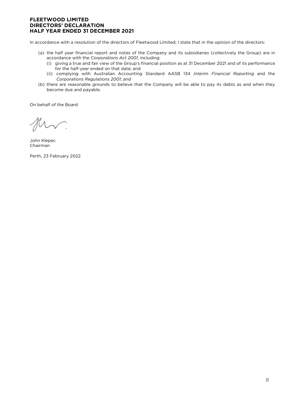In accordance with a resolution of the directors of Fleetwood Limited, I state that in the opinion of the directors:

- (a) the half year financial report and notes of the Company and its subsidiaries (collectively the Group) are in accordance with the *Corporations Act 2001*, including:
	- (i) giving a true and fair view of the Group's financial position as at 31 December 2021 and of its performance for the half-year ended on that date; and
	- (ii) complying with Australian Accounting Standard AASB 134 *Interim Financial Reporting* and the *Corporations Regulations 2001*; and
- (b) there are reasonable grounds to believe that the Company will be able to pay its debts as and when they become due and payable.

On behalf of the Board

John Klepec Chairman

Perth, 23 February 2022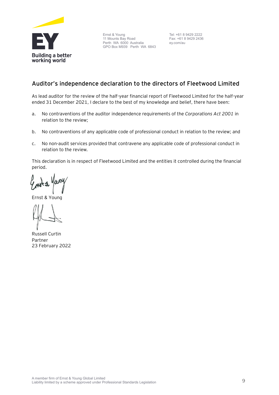

Ernst & Young 11 Mounts Bay Road Perth WA 6000 Australia GPO Box M939 Perth WA 6843

Tel: +61 8 9429 2222 Fax: +61 8 9429 2436 ey.com/au

# **Auditor's independence declaration to the directors of Fleetwood Limited**

As lead auditor for the review of the half-year financial report of Fleetwood Limited for the half-year ended 31 December 2021, I declare to the best of my knowledge and belief, there have been:

- a. No contraventions of the auditor independence requirements of the *Corporations Act 2001* in relation to the review;
- b. No contraventions of any applicable code of professional conduct in relation to the review; and
- c. No non-audit services provided that contravene any applicable code of professional conduct in relation to the review.

This declaration is in respect of Fleetwood Limited and the entities it controlled during the financial period.

Ernst & Young

Russell Curtin Partner 23 February 2022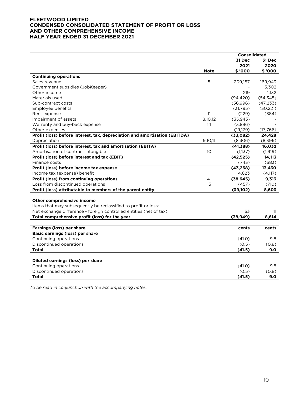#### **FLEETWOOD LIMITED CONDENSED CONSOLIDATED STATEMENT OF PROFIT OR LOSS AND OTHER COMPREHENSIVE INCOME HALF YEAR ENDED 31 DECEMBER 2021**

|                                                                            |                | <b>Consolidated</b> |           |
|----------------------------------------------------------------------------|----------------|---------------------|-----------|
|                                                                            |                | 31 Dec              | 31 Dec    |
|                                                                            |                | 2021                | 2020      |
|                                                                            | <b>Note</b>    | \$ '000             | \$ '000   |
| <b>Continuing operations</b>                                               |                |                     |           |
| Sales revenue                                                              | 5              | 209,157             | 169,943   |
| Government subsidies (JobKeeper)                                           |                |                     | 3,302     |
| Other income                                                               |                | 219                 | 1,132     |
| Materials used                                                             |                | (94, 420)           | (54, 345) |
| Sub-contract costs                                                         |                | (56,996)            | (47, 233) |
| Employee benefits                                                          |                | (31,795)            | (30, 221) |
| Rent expense                                                               | 11             | (229)               | (384)     |
| Impairment of assets                                                       | 8,10,12        | (35, 943)           |           |
| Warranty and buy-back expense                                              | 14             | (3,896)             |           |
| Other expenses                                                             |                | (19, 179)           | (17,766)  |
| Profit (loss) before interest, tax, depreciation and amortisation (EBITDA) |                | (33,082)            | 24,428    |
| Depreciation                                                               | 9,10,11        | (8,306)             | (8,396)   |
| Profit (loss) before interest, tax and amortisation (EBITA)                |                | (41, 388)           | 16,032    |
| Amortisation of contract intangible                                        | 10             | (1, 137)            | (1, 919)  |
| Profit (loss) before interest and tax (EBIT)                               |                | (42, 525)           | 14,113    |
| Finance costs                                                              |                | (743)               | (683)     |
| Profit (loss) before income tax expense                                    |                | (43, 268)           | 13,430    |
| Income tax (expense) benefit                                               |                | 4,623               | (4,117)   |
| Profit (loss) from continuing operations                                   | $\overline{4}$ | (38, 645)           | 9,313     |
| Loss from discontinued operations                                          | 15             | (457)               | (710)     |
| Profit (loss) attributable to members of the parent entity                 |                | (39, 102)           | 8,603     |
|                                                                            |                |                     |           |
| Other comprehensive income                                                 |                |                     |           |
| Items that may subsequently be reclassified to profit or loss:             |                |                     |           |
| Net exchange difference - foreign controlled entities (net of tax)         |                | 153                 | 11        |
| Total comprehensive profit (loss) for the year                             |                | (38, 949)           | 8,614     |
|                                                                            |                |                     |           |
| Earnings (loss) per share                                                  |                | cents               | cents     |
| <b>Basic earnings (loss) per share</b>                                     |                |                     |           |
| Continuing operations                                                      |                | (41.0)              | 9.8       |
| Discontinued operations                                                    |                | (0.5)               | (0.8)     |
| <b>Total</b>                                                               |                | (41.5)              | 9.0       |
|                                                                            |                |                     |           |
| Diluted earnings (loss) per share                                          |                |                     |           |
| Continuing operations                                                      |                | (41.0)              | 9.8       |
| Discontinued operations                                                    |                | (0.5)               | (0.8)     |
| <b>Total</b>                                                               |                | (41.5)              | 9.0       |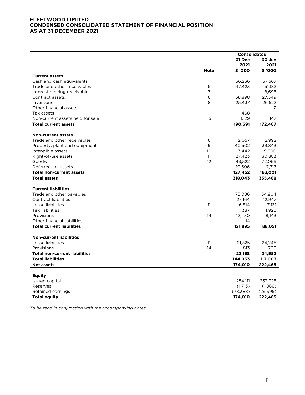#### **FLEETWOOD LIMITED CONDENSED CONSOLIDATED STATEMENT OF FINANCIAL POSITION AS AT 31 DECEMBER 2021**

|                                      |             | Consolidated |           |
|--------------------------------------|-------------|--------------|-----------|
|                                      |             | 31 Dec       | 30 Jun    |
|                                      |             | 2021         | 2021      |
|                                      | <b>Note</b> | \$ '000      | \$ '000   |
| <b>Current assets</b>                |             |              |           |
| Cash and cash equivalents            |             | 56,236       | 57,567    |
| Trade and other receivables          | 6           | 47,423       | 51,182    |
| Interest bearing receivables         | 7           |              | 8,698     |
| Contract assets                      | 6           | 58,898       | 27,349    |
| Inventories                          | 8           | 25,437       | 26,522    |
| Other financial assets               |             |              | 2         |
| Tax assets                           |             | 1,468        |           |
| Non-current assets held for sale     | 15          | 1,129        | 1,147     |
| <b>Total current assets</b>          |             | 190,591      | 172,467   |
|                                      |             |              |           |
| <b>Non-current assets</b>            |             |              |           |
| Trade and other receivables          | 6           | 2,057        | 2,992     |
| Property, plant and equipment        | 9           | 40,502       | 39,843    |
| Intangible assets                    | 10          | 3,442        | 9,500     |
| Right-of-use assets                  | 11          | 27,423       | 30,883    |
| Goodwill                             | 12          | 43,522       | 72,066    |
| Deferred tax assets                  |             | 10,506       | 7,717     |
| <b>Total non-current assets</b>      |             | 127,452      | 163,001   |
| <b>Total assets</b>                  |             | 318,043      | 335,468   |
|                                      |             |              |           |
| <b>Current liabilities</b>           |             |              |           |
| Trade and other payables             |             | 75,086       | 54,904    |
| <b>Contract liabilities</b>          |             | 27,164       | 12,947    |
| Lease liabilities                    | 11          | 6,814        | 7,131     |
| <b>Tax liabilities</b>               |             | 387          | 4,926     |
| Provisions                           | 14          | 12,430       | 8,143     |
| Other financial liabilities          |             | 14           |           |
| <b>Total current liabilities</b>     |             | 121,895      | 88,051    |
|                                      |             |              |           |
| <b>Non-current liabilities</b>       |             |              |           |
| Lease liabilities                    | 11          | 21,325       | 24,246    |
| Provisions                           | 14          | 813          | 706       |
| <b>Total non-current liabilities</b> |             | 22,138       | 24,952    |
| <b>Total liabilities</b>             |             | 144,033      | 113,003   |
| <b>Net assets</b>                    |             | 174,010      | 222,465   |
|                                      |             |              |           |
| <b>Equity</b>                        |             |              |           |
| Issued capital                       |             | 254,111      | 253,726   |
| Reserves                             |             | (1,713)      | (1,866)   |
| Retained earnings                    |             | (78, 388)    | (29, 395) |
| <b>Total equity</b>                  |             | 174,010      | 222,465   |
|                                      |             |              |           |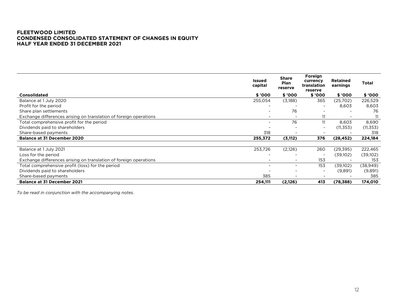#### **FLEETWOOD LIMITED CONDENSED CONSOLIDATED STATEMENT OF CHANGES IN EQUITY HALF YEAR ENDED 31 DECEMBER 2021**

|                                                                   | <b>Issued</b><br>capital | <b>Share</b><br>Plan<br>reserve | Foreign<br>currency<br>translation<br>reserve | <b>Retained</b><br>earnings | <b>Total</b> |
|-------------------------------------------------------------------|--------------------------|---------------------------------|-----------------------------------------------|-----------------------------|--------------|
| Consolidated                                                      | \$ '000                  | \$ '000                         | \$ '000                                       | \$ '000                     | \$ '000      |
| Balance at 1 July 2020                                            | 255,054                  | (3,188)                         | 365                                           | (25,702)                    | 226,529      |
| Profit for the period                                             |                          |                                 | $\overline{\phantom{a}}$                      | 8,603                       | 8,603        |
| Share plan settlements                                            |                          | 76                              |                                               |                             | 76           |
| Exchange differences arising on translation of foreign operations |                          |                                 | 11                                            |                             |              |
| Total comprehensive profit for the period                         | $\overline{\phantom{a}}$ | 76                              | 11                                            | 8,603                       | 8,690        |
| Dividends paid to shareholders                                    |                          |                                 | $\overline{\phantom{a}}$                      | (11, 353)                   | (11, 353)    |
| Share-based payments                                              | 318                      |                                 |                                               |                             | 318          |
| <b>Balance at 31 December 2020</b>                                | 255,372                  | (3, 112)                        | 376                                           | (28, 452)                   | 224,184      |
|                                                                   |                          |                                 |                                               |                             |              |
| Balance at 1 July 2021                                            | 253,726                  | (2,126)                         | 260                                           | (29, 395)                   | 222,465      |
| Loss for the period                                               |                          |                                 | $\overline{\phantom{a}}$                      | (39,102)                    | (39,102)     |
| Exchange differences arising on translation of foreign operations |                          |                                 | 153                                           |                             | 153          |
| Total comprehensive profit (loss) for the period                  |                          |                                 | 153                                           | (39,102)                    | (38,949)     |
| Dividends paid to shareholders                                    |                          |                                 | $\overline{\phantom{a}}$                      | (9,891)                     | (9,891)      |
| Share-based payments                                              | 385                      |                                 |                                               |                             | 385          |
| <b>Balance at 31 December 2021</b>                                | 254,111                  | (2,126)                         | 413                                           | (78, 388)                   | 174,010      |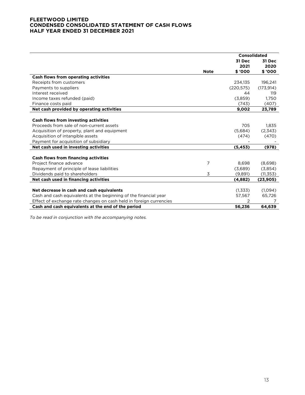#### **FLEETWOOD LIMITED CONDENSED CONSOLIDATED STATEMENT OF CASH FLOWS HALF YEAR ENDED 31 DECEMBER 2021**

|                                                                    |             | Consolidated |            |
|--------------------------------------------------------------------|-------------|--------------|------------|
|                                                                    |             | 31 Dec       | 31 Dec     |
|                                                                    |             | 2021         | 2020       |
|                                                                    | <b>Note</b> | \$ '000      | \$ '000    |
| Cash flows from operating activities                               |             |              |            |
| Receipts from customers                                            |             | 234,135      | 196,241    |
| Payments to suppliers                                              |             | (220, 575)   | (173, 914) |
| Interest received                                                  |             | 44           | 119        |
| Income taxes refunded (paid)                                       |             | (3,859)      | 1,750      |
| Finance costs paid                                                 |             | (743)        | (407)      |
| Net cash provided by operating activities                          |             | 9.002        | 23,789     |
|                                                                    |             |              |            |
| <b>Cash flows from investing activities</b>                        |             |              |            |
| Proceeds from sale of non-current assets                           |             | 705          | 1,835      |
| Acquisition of property, plant and equipment                       |             | (5,684)      | (2,343)    |
| Acquisition of intangible assets                                   |             | (474)        | (470)      |
| Payment for acquisition of subsidiary                              |             |              |            |
| Net cash used in investing activities                              |             | (5, 453)     | (978)      |
|                                                                    |             |              |            |
| <b>Cash flows from financing activities</b>                        |             |              |            |
| Project finance advance                                            | 7           | 8,698        | (8,698)    |
| Repayment of principle of lease liabilities                        |             | (3,689)      | (3,854)    |
| Dividends paid to shareholders                                     | 3           | (9,891)      | (11, 353)  |
| Net cash used in financing activities                              |             | (4,882)      | (23, 905)  |
|                                                                    |             |              |            |
| Net decrease in cash and cash equivalents                          |             | (1,333)      | (1,094)    |
| Cash and cash equivalents at the beginning of the financial year   |             | 57,567       | 65,726     |
| Effect of exchange rate changes on cash held in foreign currencies |             |              |            |
| Cash and cash equivalents at the end of the period                 |             | 56,236       | 64,639     |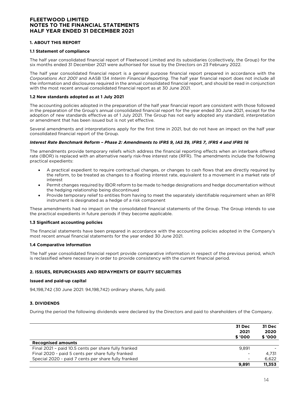#### **1. ABOUT THIS REPORT**

#### **1.1 Statement of compliance**

The half year consolidated financial report of Fleetwood Limited and its subsidiaries (collectively, the Group) for the six months ended 31 December 2021 were authorised for issue by the Directors on 23 February 2022.

The half year consolidated financial report is a general purpose financial report prepared in accordance with the *Corporations Act 2001* and AASB 134 *Interim Financial Reporting*. The half year financial report does not include all the information and disclosures required in the annual consolidated financial report, and should be read in conjunction with the most recent annual consolidated financial report as at 30 June 2021.

#### **1.2 New standards adopted as at 1 July 2021**

The accounting policies adopted in the preparation of the half year financial report are consistent with those followed in the preparation of the Group's annual consolidated financial report for the year ended 30 June 2021, except for the adoption of new standards effective as of 1 July 2021. The Group has not early adopted any standard, interpretation or amendment that has been issued but is not yet effective.

Several amendments and interpretations apply for the first time in 2021, but do not have an impact on the half year consolidated financial report of the Group.

#### *Interest Rate Benchmark Reform – Phase 2: Amendments to IFRS 9, IAS 39, IFRS 7, IFRS 4 and IFRS 16*

The amendments provide temporary reliefs which address the financial reporting effects when an interbank offered rate (IBOR) is replaced with an alternative nearly risk-free interest rate (RFR). The amendments include the following practical expedients:

- A practical expedient to require contractual changes, or changes to cash flows that are directly required by the reform, to be treated as changes to a floating interest rate, equivalent to a movement in a market rate of interest
- Permit changes required by IBOR reform to be made to hedge designations and hedge documentation without the hedging relationship being discontinued
- Provide temporary relief to entities from having to meet the separately identifiable requirement when an RFR instrument is designated as a hedge of a risk component

These amendments had no impact on the consolidated financial statements of the Group. The Group intends to use the practical expedients in future periods if they become applicable.

#### **1.3 Significant accounting policies**

The financial statements have been prepared in accordance with the accounting policies adopted in the Company's most recent annual financial statements for the year ended 30 June 2021.

#### **1.4 Comparative information**

The half year consolidated financial report provide comparative information in respect of the previous period, which is reclassified where necessary in order to provide consistency with the current financial period.

#### **2. ISSUES, REPURCHASES AND REPAYMENTS OF EQUITY SECURITIES**

#### **Issued and paid-up capital**

94,198,742 (30 June 2021: 94,198,742) ordinary shares, fully paid.

#### **3. DIVIDENDS**

During the period the following dividends were declared by the Directors and paid to shareholders of the Company.

|                                                      | 31 Dec<br>2021<br>\$ '000 | 31 Dec<br>2020<br>\$ '000 |
|------------------------------------------------------|---------------------------|---------------------------|
| <b>Recognised amounts</b>                            |                           |                           |
| Final 2021 - paid 10.5 cents per share fully franked | 9.891                     |                           |
| Final 2020 - paid 5 cents per share fully franked    |                           | 4.731                     |
| Special 2020 - paid 7 cents per share fully franked  | $\overline{\phantom{0}}$  | 6,622                     |
|                                                      | 9.891                     | 11,353                    |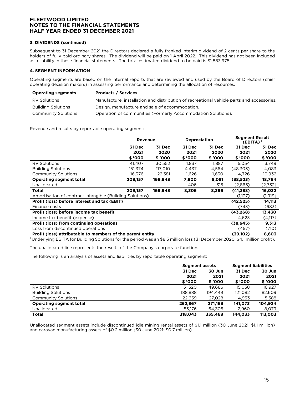#### **3. DIVIDENDS (continued)**

Subsequent to 31 December 2021 the Directors declared a fully franked interim dividend of 2 cents per share to the holders of fully paid ordinary shares. The dividend will be paid on 1 April 2022. This dividend has not been included as a liability in these financial statements. The total estimated dividend to be paid is \$1,883,975.

#### **4. SEGMENT INFORMATION**

Operating segments are based on the internal reports that are reviewed and used by the Board of Directors (chief operating decision makers) in assessing performance and determining the allocation of resources.

| <b>Operating segments</b>  | <b>Products / Services</b>                                                                |
|----------------------------|-------------------------------------------------------------------------------------------|
| RV Solutions               | Manufacture, installation and distribution of recreational vehicle parts and accessories. |
| <b>Building Solutions</b>  | Design, manufacture and sale of accommodation.                                            |
| <b>Community Solutions</b> | Operation of communities (Formerly Accommodation Solutions).                              |

Revenue and results by reportable operating segment:

|                                                            | Revenue |         | <b>Depreciation</b> |        | <b>Segment Result</b><br>$(EBITA)^1$ |          |
|------------------------------------------------------------|---------|---------|---------------------|--------|--------------------------------------|----------|
|                                                            | 31 Dec  | 31 Dec  | 31 Dec              | 31 Dec | 31 Dec                               | 31 Dec   |
|                                                            | 2021    | 2020    | 2021                | 2020   | 2021                                 | 2020     |
|                                                            | \$'000  | \$ '000 | \$ '000             | \$'000 | \$ '000                              | \$ '000  |
| <b>RV Solutions</b>                                        | 41.407  | 30,552  | 1,837               | 1.887  | 5.054                                | 3,749    |
| Building Solutions <sup>1</sup>                            | 151,374 | 117,010 | 4,437               | 4,564  | (48,303)                             | 4,083    |
| <b>Community Solutions</b>                                 | 16,376  | 22,381  | 1,626               | 1,630  | 4,726                                | 10,932   |
| <b>Operating segment total</b>                             | 209,157 | 169,943 | 7,900               | 8,081  | (38, 523)                            | 18,764   |
| Unallocated                                                |         |         | 406                 | 315    | (2,865)                              | (2,732)  |
| Total                                                      | 209.157 | 169,943 | 8,306               | 8,396  | (41, 388)                            | 16,032   |
| Amortisation of contract intangible (Building Solutions)   |         |         |                     |        | (1,137)                              | (1, 919) |
| Profit (loss) before interest and tax (EBIT)               |         |         |                     |        | (42, 525)                            | 14,113   |
| Finance costs                                              |         |         |                     |        | (743)                                | (683)    |
| Profit (loss) before income tax benefit                    |         |         |                     |        | (43, 268)                            | 13,430   |
| Income tax benefit (expense)                               |         |         |                     |        | 4,623                                | (4, 117) |
| <b>Profit (loss) from continuing operations</b>            |         |         |                     |        | (38, 645)                            | 9,313    |
| Loss from discontinued operations                          |         |         |                     |        | (457)                                | (710)    |
| Profit (loss) attributable to members of the parent entity |         |         |                     |        | (39, 102)                            | 8,603    |

1 Underlying EBITA for Building Solutions for the period was an \$8.5 million loss (31 December 2020: \$4.1 million profit).

The unallocated line represents the results of the Company's corporate function.

The following is an analysis of assets and liabilities by reportable operating segment:

|                                |         | <b>Segment assets</b> |         | <b>Segment liabilities</b> |
|--------------------------------|---------|-----------------------|---------|----------------------------|
|                                | 31 Dec  | 30 Jun                | 31 Dec  | 30 Jun                     |
|                                | 2021    | 2021                  | 2021    | 2021                       |
|                                | \$'000  | \$ '000               | \$ '000 | \$ '000                    |
| <b>RV Solutions</b>            | 51,320  | 49.686                | 15.038  | 16.927                     |
| <b>Building Solutions</b>      | 188,888 | 194.449               | 121,082 | 82,609                     |
| <b>Community Solutions</b>     | 22.659  | 27.028                | 4.953   | 5,388                      |
| <b>Operating segment total</b> | 262,867 | 271.163               | 141.073 | 104.924                    |
| Unallocated                    | 55,176  | 64,305                | 2,960   | 8,079                      |
| Total                          | 318.043 | 335.468               | 144.033 | 113,003                    |

Unallocated segment assets include discontinued idle mining rental assets of \$1.1 million (30 June 2021: \$1.1 million) and caravan manufacturing assets of \$0.2 million (30 June 2021: \$0.7 million).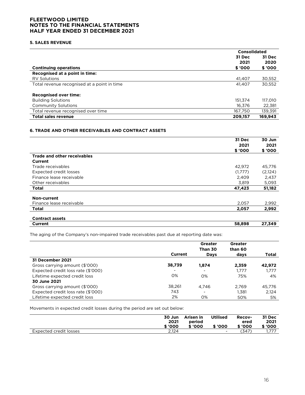#### **5. SALES REVENUE**

|                                             | <b>Consolidated</b> |         |  |
|---------------------------------------------|---------------------|---------|--|
|                                             | 31 Dec              | 31 Dec  |  |
|                                             | 2021                | 2020    |  |
| <b>Continuing operations</b>                | \$ '000             | \$ '000 |  |
| Recognised at a point in time:              |                     |         |  |
| <b>RV Solutions</b>                         | 41.407              | 30,552  |  |
| Total revenue recognised at a point in time | 41.407              | 30,552  |  |
| <b>Recognised over time:</b>                |                     |         |  |
| <b>Building Solutions</b>                   | 151.374             | 117,010 |  |
| <b>Community Solutions</b>                  | 16.376              | 22,381  |  |
| Total revenue recognised over time          | 167,750             | 139,391 |  |
| <b>Total sales revenue</b>                  | 209.157             | 169,943 |  |

#### **6. TRADE AND OTHER RECEIVABLES AND CONTRACT ASSETS**

|                                    | 31 Dec  | 30 Jun   |
|------------------------------------|---------|----------|
|                                    | 2021    | 2021     |
|                                    | \$'000  | \$ '000  |
| <b>Trade and other receivables</b> |         |          |
| Current                            |         |          |
| Trade receivables                  | 42,972  | 45,776   |
| Expected credit losses             | (1,777) | (2, 124) |
| Finance lease receivable           | 2,409   | 2,437    |
| Other receivables                  | 3,819   | 5,093    |
| <b>Total</b>                       | 47,423  | 51,182   |
|                                    |         |          |
| Non-current                        |         |          |
| Finance lease receivable           | 2,057   | 2,992    |
| <b>Total</b>                       | 2,057   | 2,992    |
| <b>Contract assets</b>             |         |          |
| Current                            | 58,898  | 27,349   |

The aging of the Company's non-impaired trade receivables past due at reporting date was:

|                                    |                          | Greater<br>Than 30       | Greater<br>than 60 |        |
|------------------------------------|--------------------------|--------------------------|--------------------|--------|
|                                    | Current                  | <b>Days</b>              | days               | Total  |
| 31 December 2021                   |                          |                          |                    |        |
| Gross carrying amount (\$'000)     | 38,739                   | 1,874                    | 2,359              | 42,972 |
| Expected credit loss rate (\$'000) | $\overline{\phantom{0}}$ | $\overline{\phantom{a}}$ | 1.777              | 1.777  |
| Lifetime expected credit loss      | 0%                       | 0%                       | 75%                | 4%     |
| 30 June 2021                       |                          |                          |                    |        |
| Gross carrying amount (\$'000)     | 38,261                   | 4.746                    | 2.769              | 45.776 |
| Expected credit loss rate (\$'000) | 743                      | $\overline{\phantom{a}}$ | 1.381              | 2,124  |
| Lifetime expected credit loss      | 2%                       | $O\%$                    | 50%                | 5%     |

Movements in expected credit losses during the period are set out below:

|                        | 30 Jun<br>2021<br>\$ '000 | Arisen in<br>period<br>\$ '000 | <b>Utilised</b><br>\$ '000 | <b>Recov-</b><br>ered<br>\$ '000 | 31 Dec<br>2021<br>\$ '000 |
|------------------------|---------------------------|--------------------------------|----------------------------|----------------------------------|---------------------------|
| Expected credit losses | 2.124                     |                                |                            | '347'                            | .                         |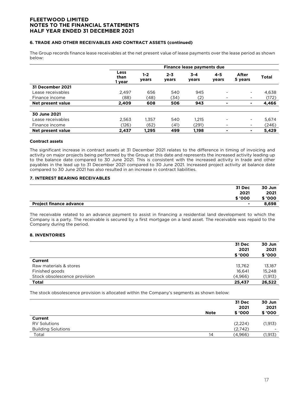#### **6. TRADE AND OTHER RECEIVABLES AND CONTRACT ASSETS (continued)**

The Group records finance lease receivables at the net present value of lease payments over the lease period as shown below:

|                   | Finance lease payments due |                  |                  |                  |                          |                          |              |
|-------------------|----------------------------|------------------|------------------|------------------|--------------------------|--------------------------|--------------|
|                   | Less<br>than<br>1 year     | $1 - 2$<br>years | $2 - 3$<br>years | $3 - 4$<br>years | $4 - 5$<br>years         | After<br>5 years         | <b>Total</b> |
| 31 December 2021  |                            |                  |                  |                  |                          |                          |              |
| Lease receivables | 2.497                      | 656              | 540              | 945              |                          | ۰.                       | 4,638        |
| Finance income    | (88)                       | (48)             | (34)             | (2)              | $\overline{\phantom{a}}$ | -                        | (172)        |
| Net present value | 2.409                      | 608              | 506              | 943              | ۰                        | ٠                        | 4,466        |
| 30 June 2021      |                            |                  |                  |                  |                          |                          |              |
| Lease receivables | 2,563                      | 1.357            | 540              | 1,215            | -                        | $\overline{\phantom{a}}$ | 5,674        |
| Finance income    | (126)                      | (62)             | (41)             | (291)            |                          | $\blacksquare$           | (246)        |
| Net present value | 2,437                      | 1,295            | 499              | 1,198            |                          | ۰                        | 5,429        |

#### **Contract assets**

The significant increase in contract assets at 31 December 2021 relates to the difference in timing of invoicing and activity on major projects being performed by the Group at this date and represents the increased activity leading up to the balance date compared to 30 June 2021. This is consistent with the increased activity in trade and other payables in the lead up to 31 December 2021 compared to 30 June 2021. Increased project activity at balance date compared to 30 June 2021 has also resulted in an increase in contract liabilities.

#### **7. INTEREST BEARING RECEIVABLES**

|                                | 31 Dec         | 30 Jun  |
|--------------------------------|----------------|---------|
|                                | 2021           | 2021    |
|                                | \$ '000        | \$ '000 |
| <b>Project finance advance</b> | $\blacksquare$ | 8,698   |

The receivable related to an advance payment to assist in financing a residential land development to which the Company is a party. The receivable is secured by a first mortgage on a land asset. The receivable was repaid to the Company during the period.

#### **8. INVENTORIES**

|                              | 31 Dec<br>2021<br>\$ '000 | 30 Jun<br>2021<br>\$ '000 |
|------------------------------|---------------------------|---------------------------|
| Current                      |                           |                           |
| Raw materials & stores       | 13,762                    | 13,187                    |
| Finished goods               | 16,641                    | 15,248                    |
| Stock obsolescence provision | (4,966)                   | (1, 913)                  |
| <b>Total</b>                 | 25,437                    | 26,522                    |

The stock obsolescence provision is allocated within the Company's segments as shown below:

|                           | <b>Note</b> | 31 Dec<br>2021<br>\$'000 | 30 Jun<br>2021<br>\$ '000 |
|---------------------------|-------------|--------------------------|---------------------------|
| Current                   |             |                          |                           |
| <b>RV Solutions</b>       |             | (2,224)                  | (1, 913)                  |
| <b>Building Solutions</b> |             | (2,742)                  | $\overline{\phantom{0}}$  |
| Total                     | 14          | (4,966)                  | (1,913)                   |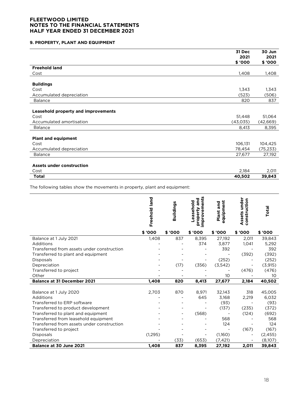#### **9. PROPERTY, PLANT AND EQUIPMENT**

|                                                                         | 31 Dec<br>2021<br>\$ '000 | 30 Jun<br>2021<br>\$ '000 |
|-------------------------------------------------------------------------|---------------------------|---------------------------|
| <b>Freehold land</b>                                                    |                           |                           |
| Cost                                                                    | 1,408                     | 1,408                     |
| <b>Buildings</b>                                                        |                           |                           |
| Cost                                                                    | 1,343                     | 1,343                     |
| Accumulated depreciation                                                | (523)                     | (506)                     |
| <b>Balance</b>                                                          | 820                       | 837                       |
| Leasehold property and improvements<br>Cost<br>Accumulated amortisation | 51,448<br>(43, 035)       | 51,064<br>(42,669)        |
| <b>Balance</b>                                                          | 8,413                     | 8,395                     |
| <b>Plant and equipment</b><br>Cost<br>Accumulated depreciation          | 106,131<br>78,454         | 104,425<br>(75, 233)      |
| <b>Balance</b>                                                          | 27,677                    | 27,192                    |
| <b>Assets under construction</b><br>Cost                                | 2,184                     | 2,011                     |
| <b>Total</b>                                                            | 40,502                    | 39,843                    |

The following tables show the movements in property, plant and equipment:

|                                            | Freehold land | Buildings | ents<br>and<br>easehold<br>mprovem<br>property | equipment<br>Plant and | Assets under<br>construction | Total    |
|--------------------------------------------|---------------|-----------|------------------------------------------------|------------------------|------------------------------|----------|
|                                            | \$ '000       | \$ '000   | \$ '000                                        | \$ '000                | \$'000                       | \$ '000  |
| Balance at 1 July 2021                     | 1,408         | 837       | 8,395                                          | 27,192                 | 2,011                        | 39,843   |
| Additions                                  |               |           | 374                                            | 3,877                  | 1,041                        | 5,292    |
| Transferred from assets under construction |               |           |                                                | 392                    |                              | 392      |
| Transferred to plant and equipment         |               |           |                                                |                        | (392)                        | (392)    |
| Disposals                                  |               |           |                                                | (252)                  |                              | (252)    |
| Depreciation                               |               | (17)      | (356)                                          | (3,542)                |                              | (3, 915) |
| Transferred to project                     |               |           |                                                |                        | (476)                        | (476)    |
| Other                                      |               |           |                                                | 10                     |                              | 10       |
| <b>Balance at 31 December 2021</b>         | 1,408         | 820       | 8,413                                          | 27,677                 | 2,184                        | 40,502   |
|                                            |               |           |                                                |                        |                              |          |
| Balance at 1 July 2020                     | 2,703         | 870       | 8,971                                          | 32,143                 | 318                          | 45,005   |
| Additions                                  |               |           | 645                                            | 3,168                  | 2,219                        | 6,032    |
| Transferred to ERP software                |               |           |                                                | (93)                   |                              | (93)     |
| Transferred to product development         |               |           |                                                | (137)                  | (235)                        | (372)    |
| Transferred to plant and equipment         |               |           | (568)                                          |                        | (124)                        | (692)    |
| Transferred from leasehold equipment       |               |           |                                                | 568                    |                              | 568      |
| Transferred from assets under construction |               |           |                                                | 124                    |                              | 124      |
| Transferred to project                     |               |           |                                                |                        | (167)                        | (167)    |
| <b>Disposals</b>                           | (1,295)       |           |                                                | (1,160)                |                              | (2, 455) |
| Depreciation                               |               | (33)      | (653)                                          | (7, 421)               |                              | (8,107)  |
| Balance at 30 June 2021                    | 1,408         | 837       | 8,395                                          | 27,192                 | 2,011                        | 39,843   |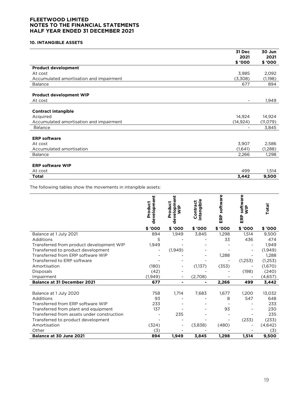#### **10. INTANGIBLE ASSETS**

|                                         | 31 Dec                   | 30 Jun   |
|-----------------------------------------|--------------------------|----------|
|                                         | 2021                     | 2021     |
|                                         | \$ '000                  | \$ '000  |
| <b>Product development</b>              |                          |          |
| At cost                                 | 3,985                    | 2,092    |
| Accumulated amortisation and impairment | (3,308)                  | (1,198)  |
| <b>Balance</b>                          | 677                      | 894      |
| <b>Product development WIP</b>          |                          |          |
| At cost                                 | $\overline{\phantom{a}}$ | 1,949    |
|                                         |                          |          |
| <b>Contract intangible</b>              |                          |          |
| Acquired                                | 14,924                   | 14,924   |
| Accumulated amortisation and impairment | (14, 924)                | (11,079) |
| <b>Balance</b>                          |                          | 3,845    |
|                                         |                          |          |
| <b>ERP software</b>                     |                          |          |
| At cost                                 | 3,907                    | 2,586    |
| Accumulated amortisation                | (1,641)                  | (1,288)  |
| <b>Balance</b>                          | 2,266                    | 1,298    |
|                                         |                          |          |
| <b>ERP software WIP</b>                 |                          |          |
| At cost                                 | 499                      | 1,514    |
| <b>Total</b>                            | 3,442                    | 9,500    |

The following tables show the movements in intangible assets:

|                                            | evelopment<br>Product<br>Ď | Ë<br>elopme<br>Product<br>$\frac{a}{2}$<br>چ<br>ъ | intangible<br>Contract | software<br>ERP | software<br>$\frac{p}{2}$<br>ERP | Total    |
|--------------------------------------------|----------------------------|---------------------------------------------------|------------------------|-----------------|----------------------------------|----------|
|                                            | \$ '000                    | \$ '000                                           | \$ '000                | \$ '000         | \$ '000                          | \$ '000  |
| Balance at 1 July 2021                     | 894                        | 1,949                                             | 3,845                  | 1,298           | 1,514                            | 9,500    |
| Additions                                  | 5                          |                                                   |                        | 33              | 436                              | 474      |
| Transferred from product development WIP   | 1,949                      |                                                   |                        |                 |                                  | 1,949    |
| Transferred to product development         |                            | (1,949)                                           |                        |                 |                                  | (1, 949) |
| Transferred from ERP software WIP          |                            |                                                   |                        | 1,288           |                                  | 1,288    |
| Transferred to ERP software                |                            |                                                   |                        |                 | (1,253)                          | (1,253)  |
| Amortisation                               | (180)                      |                                                   | (1,137)                | (353)           |                                  | (1,670)  |
| <b>Disposals</b>                           | (42)                       |                                                   |                        |                 | (198)                            | (240)    |
| Impairment                                 | (1, 949)                   |                                                   | (2,708)                |                 |                                  | (4,657)  |
| <b>Balance at 31 December 2021</b>         | 677                        | ۰                                                 |                        | 2,266           | 499                              | 3,442    |
|                                            |                            |                                                   |                        |                 |                                  |          |
| Balance at 1 July 2020                     | 758                        | 1,714                                             | 7,683                  | 1,677           | 1,200                            | 13,032   |
| Additions                                  | 93                         |                                                   |                        | 8               | 547                              | 648      |
| Transferred from ERP software WIP          | 233                        |                                                   |                        |                 |                                  | 233      |
| Transferred from plant and equipment       | 137                        |                                                   |                        | 93              |                                  | 230      |
| Transferred from assets under construction |                            | 235                                               |                        |                 |                                  | 235      |
| Transferred to product development         |                            |                                                   |                        |                 | (233)                            | (233)    |
| Amortisation                               | (324)                      |                                                   | (3,838)                | (480)           |                                  | (4,642)  |
| Other                                      | (3)                        |                                                   |                        |                 |                                  | (3)      |
| Balance at 30 June 2021                    | 894                        | 1,949                                             | 3,845                  | 1,298           | 1,514                            | 9,500    |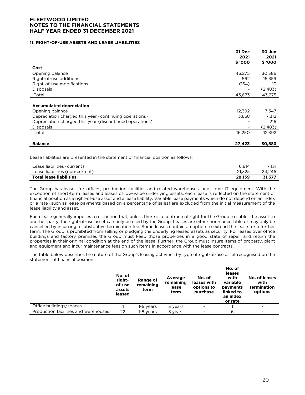#### **11. RIGHT-OF-USE ASSETS AND LEASE LIABILITIES**

|                                                          | 31 Dec  | 30 Jun  |
|----------------------------------------------------------|---------|---------|
|                                                          | 2021    | 2021    |
|                                                          | \$ '000 | \$ '000 |
| Cost                                                     |         |         |
| Opening balance                                          | 43,275  | 30,386  |
| Right-of-use additions                                   | 562     | 15,359  |
| Right-of-use modifications                               | (164)   | 13      |
| <b>Disposals</b>                                         |         | (2,483) |
| Total                                                    | 43,673  | 43,275  |
|                                                          |         |         |
| <b>Accumulated depreciation</b>                          |         |         |
| Opening balance                                          | 12,392  | 7,347   |
| Depreciation charged this year (continuing operations)   | 3,858   | 7,312   |
| Depreciation charged this year (discontinued operations) |         | 216     |
| <b>Disposals</b>                                         |         | (2,483) |
| Total                                                    | 16,250  | 12,392  |
|                                                          |         |         |
| <b>Balance</b>                                           | 27,423  | 30,883  |

Lease liabilities are presented in the statement of financial position as follows:

| Lease liabilities (current)     | 6.814  | 7.131  |
|---------------------------------|--------|--------|
| Lease liabilities (non-current) | 21.325 | 24.246 |
| <b>Total lease liabilities</b>  | 28.139 | 31.377 |

The Group has leases for offices, production facilities and related warehouses, and some IT equipment. With the exception of short-term leases and leases of low-value underlying assets, each lease is reflected on the statement of financial position as a right-of-use asset and a lease liability. Variable lease payments which do not depend on an index or a rate (such as lease payments based on a percentage of sales) are excluded from the initial measurement of the lease liability and asset.

Each lease generally imposes a restriction that, unless there is a contractual right for the Group to sublet the asset to another party, the right-of-use asset can only be used by the Group. Leases are either non-cancellable or may only be cancelled by incurring a substantive termination fee. Some leases contain an option to extend the lease for a further term. The Group is prohibited from selling or pledging the underlying leased assets as security. For leases over office buildings and factory premises the Group must keep those properties in a good state of repair and return the properties in their original condition at the end of the lease. Further, the Group must insure items of property, plant and equipment and incur maintenance fees on such items in accordance with the lease contracts.

The table below describes the nature of the Group's leasing activities by type of right-of-use asset recognised on the statement of financial position:

|                                      | No. of<br>right-<br>of-use<br>assets<br>leased | Range of<br>remaining<br>term | Average<br>remaining<br>lease<br>term | No. of<br>leases with<br>options to<br>purchase | No. of<br>leases<br>with<br>variable<br>payments<br>linked to<br>an index<br>or rate | No. of leases<br>with<br>termination<br>options |
|--------------------------------------|------------------------------------------------|-------------------------------|---------------------------------------|-------------------------------------------------|--------------------------------------------------------------------------------------|-------------------------------------------------|
| Office buildings/spaces              | 4                                              | 1-5 years                     | 3 years                               | $\overline{\phantom{a}}$                        |                                                                                      | -                                               |
| Production facilities and warehouses | 22                                             | 1-8 years                     | 3 years                               | $\overline{\phantom{a}}$                        | 6                                                                                    |                                                 |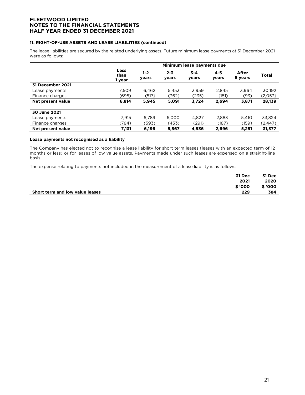#### **11. RIGHT-OF-USE ASSETS AND LEASE LIABILITIES (continued)**

The lease liabilities are secured by the related underlying assets. Future minimum lease payments at 31 December 2021 were as follows:

|                   | Minimum lease payments due |                  |                  |                  |                  |                  |              |
|-------------------|----------------------------|------------------|------------------|------------------|------------------|------------------|--------------|
|                   | Less<br>than<br>I year     | $1 - 2$<br>years | $2 - 3$<br>years | $3 - 4$<br>years | $4 - 5$<br>years | After<br>5 years | <b>Total</b> |
| 31 December 2021  |                            |                  |                  |                  |                  |                  |              |
| Lease payments    | 7.509                      | 6,462            | 5.453            | 3,959            | 2,845            | 3,964            | 30,192       |
| Finance charges   | (695)                      | (517)            | (362)            | (235)            | (151)            | (93)             | (2,053)      |
| Net present value | 6.814                      | 5,945            | 5,091            | 3,724            | 2,694            | 3,871            | 28,139       |
|                   |                            |                  |                  |                  |                  |                  |              |
| 30 June 2021      |                            |                  |                  |                  |                  |                  |              |
| Lease payments    | 7.915                      | 6,789            | 6.000            | 4.827            | 2,883            | 5.410            | 33,824       |
| Finance charges   | (784)                      | (593)            | (433)            | (291)            | (187)            | (159)            | (2, 447)     |
| Net present value | 7,131                      | 6,196            | 5,567            | 4,536            | 2,696            | 5,251            | 31,377       |

#### **Lease payments not recognised as a liability**

The Company has elected not to recognise a lease liability for short term leases (leases with an expected term of 12 months or less) or for leases of low value assets. Payments made under such leases are expensed on a straight-line basis.

The expense relating to payments not included in the measurement of a lease liability is as follows:

| 31 Dec                                 | 31 Dec  |
|----------------------------------------|---------|
| 2021                                   | 2020    |
| \$ '000                                | \$ '000 |
| 229<br>Short term and low value leases | 384     |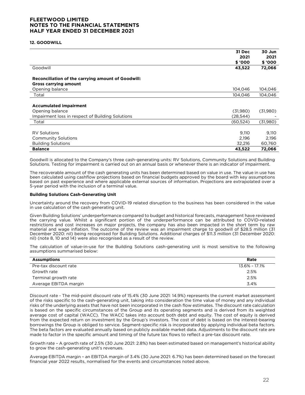#### **12. GOODWILL**

|                                                                                    | 31 Dec    | 30 Jun   |
|------------------------------------------------------------------------------------|-----------|----------|
|                                                                                    | 2021      | 2021     |
|                                                                                    | \$ '000   | \$ '000  |
| Goodwill                                                                           | 43,522    | 72,066   |
| Reconciliation of the carrying amount of Goodwill:<br><b>Gross carrying amount</b> |           |          |
| Opening balance                                                                    | 104,046   | 104,046  |
| Total                                                                              | 104,046   | 104,046  |
|                                                                                    |           |          |
| <b>Accumulated impairment</b>                                                      |           |          |
| Opening balance                                                                    | (31,980)  | (31,980) |
| Impairment loss in respect of Building Solutions                                   | (28, 544) |          |
| Total                                                                              | (60, 524) | (31,980) |
|                                                                                    |           |          |
| <b>RV Solutions</b>                                                                | 9,110     | 9,110    |
| <b>Community Solutions</b>                                                         | 2,196     | 2,196    |
| <b>Building Solutions</b>                                                          | 32,216    | 60,760   |
| <b>Balance</b>                                                                     | 43,522    | 72,066   |

Goodwill is allocated to the Company's three cash-generating units: RV Solutions, Community Solutions and Building Solutions. Testing for impairment is carried out on an annual basis or whenever there is an indicator of impairment.

The recoverable amount of the cash generating units has been determined based on value in use. The value in use has been calculated using cashflow projections based on financial budgets approved by the board with key assumptions based on past experience and where applicable external sources of information. Projections are extrapolated over a 5-year period with the inclusion of a terminal value.

#### **Building Solutions Cash-Generating Unit**

Uncertainty around the recovery from COVID-19 related disruption to the business has been considered in the value in use calculation of the cash generating unit.

Given Building Solutions' underperformance compared to budget and historical forecasts, management have reviewed the carrying value. Whilst a significant portion of the underperformance can be attributed to COVID-related restrictions and cost increases on major projects, the company has also been impacted in the short term by raw material and wage inflation. The outcome of the review was an impairment charge to goodwill of \$28.5 million (31 December 2020: nil) being recognised for Building Solutions. Additional charges of \$11.3 million (31 December 2020: nil) (note 8, 10 and 14) were also recognised as a result of the review.

The calculation of value-in-use for the Building Solutions cash-generating unit is most sensitive to the following assumptions summarised below:

| <b>Assumptions</b>    | Rate          |
|-----------------------|---------------|
| Pre-tax discount rate | 13.6% - 17.1% |
| Growth rate           | 2.5%          |
| Terminal growth rate  | 2.5%          |
| Average EBITDA margin | 3.4%          |

Discount rate - The mid-point discount rate of 15.4% (30 June 2021: 14.9%) represents the current market assessment of the risks specific to the cash-generating unit, taking into consideration the time value of money and any individual risks of the underlying assets that have not been incorporated in the cash flow estimates. The discount rate calculation is based on the specific circumstances of the Group and its operating segments and is derived from its weighted average cost of capital (WACC). The WACC takes into account both debt and equity. The cost of equity is derived from the expected return on investment by the Group's investors. The cost of debt is based on the interest-bearing borrowings the Group is obliged to service. Segment-specific risk is incorporated by applying individual beta factors. The beta factors are evaluated annually based on publicly available market data. Adjustments to the discount rate are made to factor in the specific amount and timing of the future tax flows to reflect a pre-tax discount rate.

Growth rate – A growth rate of 2.5% (30 June 2021: 2.8%) has been estimated based on management's historical ability to grow the cash-generating unit's revenues.

Average EBITDA margin – an EBITDA margin of 3.4% (30 June 2021: 6.7%) has been determined based on the forecast financial year 2022 results, normalised for the events and circumstances noted above.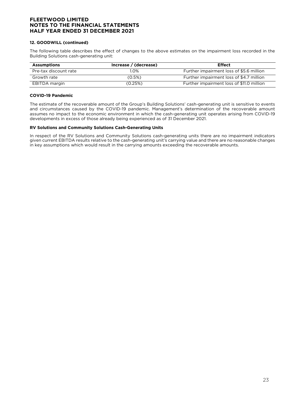#### **12. GOODWILL (continued)**

The following table describes the effect of changes to the above estimates on the impairment loss recorded in the Building Solutions cash-generating unit:

| <b>Assumptions</b>    | Increase / (decrease) | <b>Effect</b>                             |
|-----------------------|-----------------------|-------------------------------------------|
| Pre-tax discount rate | I.O%                  | Further impairment loss of \$5.6 million  |
| Growth rate           | (0.5%)                | Further impairment loss of \$4.7 million  |
| EBITDA margin         | (0.25%)               | Further impairment loss of \$11.0 million |

#### **COVID-19 Pandemic**

The estimate of the recoverable amount of the Group's Building Solutions' cash-generating unit is sensitive to events and circumstances caused by the COVID-19 pandemic. Management's determination of the recoverable amount assumes no impact to the economic environment in which the cash-generating unit operates arising from COVID-19 developments in excess of those already being experienced as of 31 December 2021.

#### **RV Solutions and Community Solutions Cash-Generating Units**

In respect of the RV Solutions and Community Solutions cash-generating units there are no impairment indicators given current EBITDA results relative to the cash-generating unit's carrying value and there are no reasonable changes in key assumptions which would result in the carrying amounts exceeding the recoverable amounts.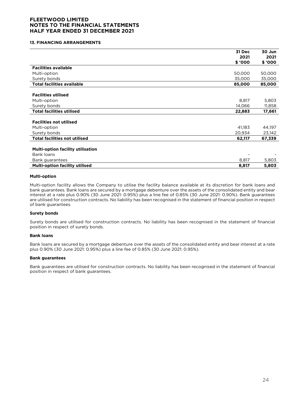#### **13. FINANCING ARRANGEMENTS**

|                                          | 31 Dec  | 30 Jun  |
|------------------------------------------|---------|---------|
|                                          | 2021    | 2021    |
|                                          | \$ '000 | \$ '000 |
| <b>Facilities available</b>              |         |         |
| Multi-option                             | 50,000  | 50,000  |
| Surety bonds                             | 35,000  | 35,000  |
| <b>Total facilities available</b>        | 85,000  | 85,000  |
|                                          |         |         |
| <b>Facilities utilised</b>               |         |         |
| Multi-option                             | 8,817   | 5,803   |
| Surety bonds                             | 14,066  | 11,858  |
| <b>Total facilities utilised</b>         | 22,883  | 17,661  |
|                                          |         |         |
| <b>Facilities not utilised</b>           |         |         |
| Multi-option                             | 41,183  | 44,197  |
| Surety bonds                             | 20,934  | 23,142  |
| <b>Total facilities not utilised</b>     | 62,117  | 67,339  |
|                                          |         |         |
| <b>Multi-option facility utilisation</b> |         |         |
| Bank loans                               |         |         |
| Bank guarantees                          | 8,817   | 5,803   |
| <b>Multi-option facility utilised</b>    | 8,817   | 5,803   |

#### **Multi-option**

Multi-option facility allows the Company to utilise the facility balance available at its discretion for bank loans and bank guarantees. Bank loans are secured by a mortgage debenture over the assets of the consolidated entity and bear interest at a rate plus 0.90% (30 June 2021: 0.95%) plus a line fee of 0.85% (30 June 2021: 0.90%). Bank guarantees are utilised for construction contracts. No liability has been recognised in the statement of financial position in respect of bank guarantees.

#### **Surety bonds**

Surety bonds are utilised for construction contracts. No liability has been recognised in the statement of financial position in respect of surety bonds.

#### **Bank loans**

Bank loans are secured by a mortgage debenture over the assets of the consolidated entity and bear interest at a rate plus 0.90% (30 June 2021: 0.95%) plus a line fee of 0.85% (30 June 2021: 0.95%).

#### **Bank guarantees**

Bank guarantees are utilised for construction contracts. No liability has been recognised in the statement of financial position in respect of bank guarantees.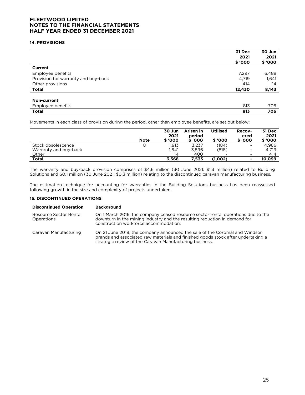#### **14. PROVISIONS**

|                                     | 31 Dec  | 30 Jun |
|-------------------------------------|---------|--------|
|                                     | 2021    | 2021   |
|                                     | \$ '000 | \$'000 |
| Current                             |         |        |
| Employee benefits                   | 7,297   | 6,488  |
| Provision for warranty and buy-back | 4,719   | 1,641  |
| Other provisions                    | 414     | 14     |
| <b>Total</b>                        | 12,430  | 8,143  |
| Non-current                         |         |        |
| Employee benefits                   | 813     | 706    |
| <b>Total</b>                        | 813     | 706    |

Movements in each class of provision during the period, other than employee benefits, are set out below:

|                       | <b>Note</b> | 30 Jun<br>2021<br>\$ '000 | Arisen in<br>period<br>\$ '000 | <b>Utilised</b><br>\$ '000 | <b>Recov-</b><br>ered<br>\$ '000 | 31 Dec<br>2021<br>\$ '000 |
|-----------------------|-------------|---------------------------|--------------------------------|----------------------------|----------------------------------|---------------------------|
| Stock obsolescence    | 8           | .913                      | 3.237                          | (184)                      | $\overline{\phantom{a}}$         | 4.966                     |
| Warranty and buy-back |             | 1.641                     | 3.896                          | (818)                      | $\overline{\phantom{a}}$         | 4.719                     |
| Other                 |             | 14                        | 400                            | -                          | $\blacksquare$                   | 414                       |
| <b>Total</b>          |             | 3.568                     | 7,533                          | (1,002)                    | $\overline{\phantom{0}}$         | 10.099                    |

The warranty and buy-back provision comprises of \$4.6 million (30 June 2021: \$1.3 million) related to Building Solutions and \$0.1 million (30 June 2021: \$0.3 million) relating to the discontinued caravan manufacturing business.

The estimation technique for accounting for warranties in the Building Solutions business has been reassessed following growth in the size and complexity of projects undertaken.

#### **15. DISCONTINUED OPERATIONS**

| <b>Discontinued Operation</b>        | <b>Background</b>                                                                                                                                                                                                         |
|--------------------------------------|---------------------------------------------------------------------------------------------------------------------------------------------------------------------------------------------------------------------------|
| Resource Sector Rental<br>Operations | On 1 March 2016, the company ceased resource sector rental operations due to the<br>downturn in the mining industry and the resulting reduction in demand for<br>construction workforce accommodation.                    |
| Caravan Manufacturing                | On 21 June 2018, the company announced the sale of the Coromal and Windsor<br>brands and associated raw materials and finished goods stock after undertaking a<br>strategic review of the Caravan Manufacturing business. |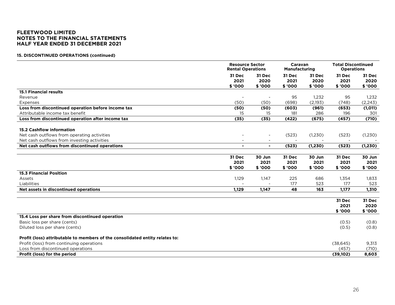#### **15. DISCONTINUED OPERATIONS (continued)**

|                                                                              |                | <b>Resource Sector</b><br><b>Rental Operations</b> |         | Caravan<br><b>Manufacturing</b> |           | <b>Total Discontinued</b><br><b>Operations</b> |
|------------------------------------------------------------------------------|----------------|----------------------------------------------------|---------|---------------------------------|-----------|------------------------------------------------|
|                                                                              | 31 Dec         | 31 Dec                                             | 31 Dec  | 31 Dec                          | 31 Dec    | 31 Dec                                         |
|                                                                              | 2021           | 2020                                               | 2021    | 2020                            | 2021      | 2020                                           |
|                                                                              | \$ '000        | \$ '000                                            | \$ '000 | \$ '000                         | \$ '000   | \$ '000                                        |
| <b>15.1 Financial results</b>                                                |                |                                                    |         |                                 |           |                                                |
| Revenue                                                                      |                |                                                    | 95      | 1,232                           | 95        | 1,232                                          |
| Expenses                                                                     | (50)           | (50)                                               | (698)   | (2,193)                         | (748)     | (2, 243)                                       |
| Loss from discontinued operation before income tax                           | (50)           | (50)                                               | (603)   | (961)                           | (653)     | (1,011)                                        |
| Attributable income tax benefit                                              | 15             | 15                                                 | 181     | 286                             | 196       | 301                                            |
| Loss from discontinued operation after income tax                            | (35)           | (35)                                               | (422)   | (675)                           | (457)     | (710)                                          |
| <b>15.2 Cashflow information</b>                                             |                |                                                    |         |                                 |           |                                                |
| Net cash outflows from operating activities                                  |                |                                                    | (523)   | (1,230)                         | (523)     | (1,230)                                        |
| Net cash outflows from investing activities                                  |                | $\blacksquare$                                     |         |                                 |           |                                                |
| Net cash outflows from discontinued operations                               | $\blacksquare$ | $\blacksquare$                                     | (523)   | (1, 230)                        | (523)     | (1, 230)                                       |
|                                                                              |                |                                                    |         |                                 |           |                                                |
|                                                                              | 31 Dec         | 30 Jun                                             | 31 Dec  | 30 Jun                          | 31 Dec    | 30 Jun                                         |
|                                                                              | 2021           | 2021                                               | 2021    | 2021                            | 2021      | 2021                                           |
|                                                                              | \$ '000        | \$ '000                                            | \$ '000 | \$ '000                         | \$ '000   | \$ '000                                        |
| <b>15.3 Financial Position</b>                                               |                |                                                    |         |                                 |           |                                                |
| Assets                                                                       | 1,129          | 1,147                                              | 225     | 686                             | 1,354     | 1,833                                          |
| Liabilities                                                                  |                |                                                    | 177     | 523                             | 177       | 523                                            |
| Net assets in discontinued operations                                        | 1,129          | 1,147                                              | 48      | 163                             | 1,177     | 1,310                                          |
|                                                                              |                |                                                    |         |                                 | 31 Dec    | 31 Dec                                         |
|                                                                              |                |                                                    |         |                                 | 2021      | 2020                                           |
|                                                                              |                |                                                    |         |                                 | \$ '000   | \$ '000                                        |
| 15.4 Loss per share from discontinued operation                              |                |                                                    |         |                                 |           |                                                |
| Basic loss per share (cents)                                                 |                |                                                    |         |                                 | (0.5)     | (0.8)                                          |
| Diluted loss per share (cents)                                               |                |                                                    |         |                                 | (0.5)     | (0.8)                                          |
| Profit (loss) attributable to members of the consolidated entity relates to: |                |                                                    |         |                                 |           |                                                |
| Profit (loss) from continuing operations                                     |                |                                                    |         |                                 | (38, 645) | 9,313                                          |
| Loss from discontinued operations                                            |                |                                                    |         |                                 | (457)     | (710)                                          |
| Profit (loss) for the period                                                 |                |                                                    |         |                                 | (39, 102) | 8,603                                          |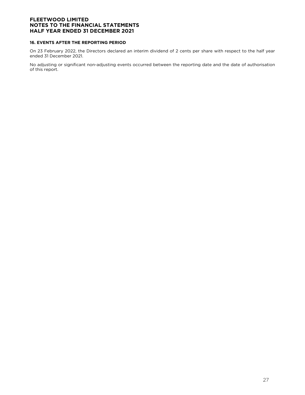#### **16. EVENTS AFTER THE REPORTING PERIOD**

On 23 February 2022, the Directors declared an interim dividend of 2 cents per share with respect to the half year ended 31 December 2021.

No adjusting or significant non-adjusting events occurred between the reporting date and the date of authorisation of this report.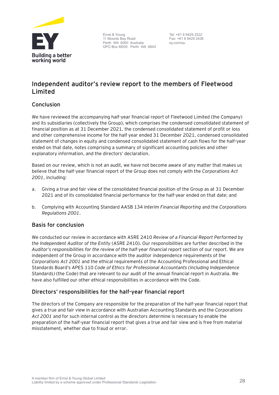

Ernst & Young 11 Mounts Bay Road Perth WA 6000 Australia GPO Box M939 Perth WA 6843

Tel: +61 8 9429 2222 Fax: +61 8 9429 2436 ey.com/au

# **Independent auditor's review report to the members of Fleetwood Limited**

# **Conclusion**

We have reviewed the accompanying half-year financial report of Fleetwood Limited (the Company) and its subsidiaries (collectively the Group), which comprises the condensed consolidated statement of financial position as at 31 December 2021, the condensed consolidated statement of profit or loss and other comprehensive income for the half year ended 31 December 2021, condensed consolidated statement of changes in equity and condensed consolidated statement of cash flows for the half-year ended on that date, notes comprising a summary of significant accounting policies and other explanatory information, and the directors' declaration.

Based on our review, which is not an audit, we have not become aware of any matter that makes us believe that the half-year financial report of the Group does not comply with the *Corporations Act 2001*, including:

- a. Giving a true and fair view of the consolidated financial position of the Group as at 31 December 2021 and of its consolidated financial performance for the half-year ended on that date; and
- b. Complying with Accounting Standard AASB 134 *Interim Financial Reporting* and the *Corporations Regulations 2001*.

# **Basis for conclusion**

We conducted our review in accordance with ASRE 2410 *Review of a Financial Report Performed by the Independent Auditor of the Entity* (ASRE 2410). Our responsibilities are further described in the *Auditor's responsibilities for the review of the half-year financial report* section of our report. We are independent of the Group in accordance with the auditor independence requirements of the *Corporations Act 2001* and the ethical requirements of the Accounting Professional and Ethical Standards Board's APES 110 *Code of Ethics for Professional Accountants (including Independence Standards)* (the Code) that are relevant to our audit of the annual financial report in Australia. We have also fulfilled our other ethical responsibilities in accordance with the Code.

# **Directors' responsibilities for the half-year financial report**

The directors of the Company are responsible for the preparation of the half-year financial report that gives a true and fair view in accordance with Australian Accounting Standards and the *Corporations Act 2001* and for such internal control as the directors determine is necessary to enable the preparation of the half-year financial report that gives a true and fair view and is free from material misstatement, whether due to fraud or error.